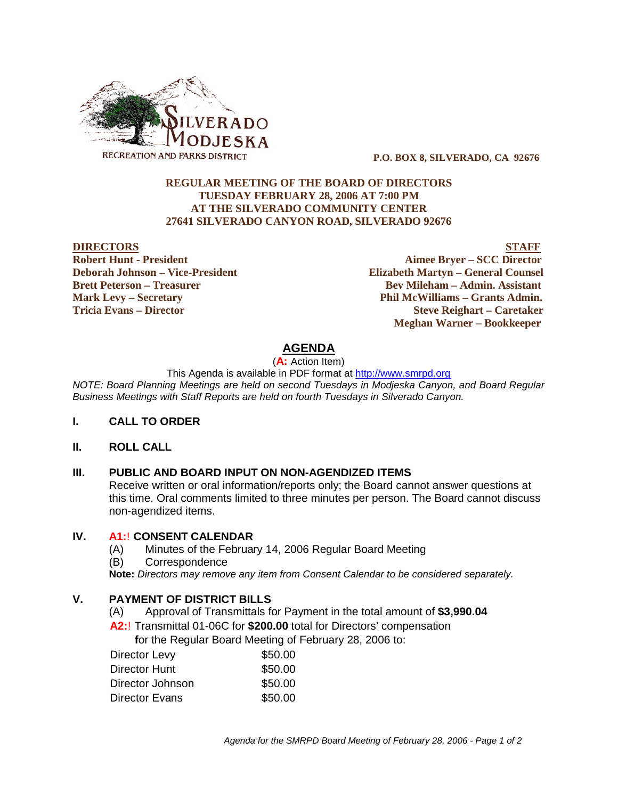

 **P.O. BOX 8, SILVERADO, CA 92676**

### **REGULAR MEETING OF THE BOARD OF DIRECTORS TUESDAY FEBRUARY 28, 2006 AT 7:00 PM AT THE SILVERADO COMMUNITY CENTER 27641 SILVERADO CANYON ROAD, SILVERADO 92676**

#### **DIRECTORS STAFF**

**Robert Hunt - President Aimee Bryer – SCC Director Deborah Johnson – Vice-President Elizabeth Martyn – General Counsel Brett Peterson – Treasurer Serverson – Bev Mileham – Admin. Assistant Mark Levy – Secretary Phil McWilliams – Grants Admin. Tricia Evans – Director Steve Reighart – Caretaker Meghan Warner – Bookkeeper**

## **AGENDA**

(**A:** Action Item)

This Agenda is available in PDF format at http://www.smrpd.org

*NOTE: Board Planning Meetings are held on second Tuesdays in Modjeska Canyon, and Board Regular Business Meetings with Staff Reports are held on fourth Tuesdays in Silverado Canyon.*

### **I. CALL TO ORDER**

### **II. ROLL CALL**

## **III. PUBLIC AND BOARD INPUT ON NON-AGENDIZED ITEMS**

Receive written or oral information/reports only; the Board cannot answer questions at this time. Oral comments limited to three minutes per person. The Board cannot discuss non-agendized items.

### **IV. A1:**! **CONSENT CALENDAR**

(A) Minutes of the February 14, 2006 Regular Board Meeting (B) Correspondence **Note:** *Directors may remove any item from Consent Calendar to be considered separately.*

## **V. PAYMENT OF DISTRICT BILLS**

(A) Approval of Transmittals for Payment in the total amount of **\$3,990.04**

**A2:**! Transmittal 01-06C for **\$200.00** total for Directors' compensation

 **f**or the Regular Board Meeting of February 28, 2006 to:

| \$50.00 |
|---------|
| \$50.00 |
| \$50.00 |
| \$50.00 |
|         |